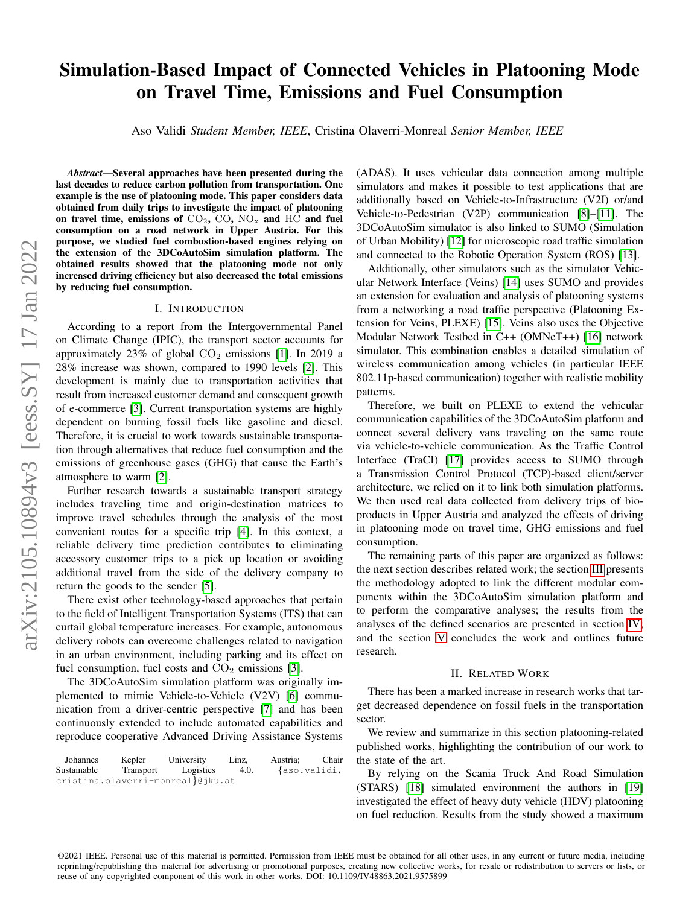# Simulation-Based Impact of Connected Vehicles in Platooning Mode on Travel Time, Emissions and Fuel Consumption

Aso Validi *Student Member, IEEE*, Cristina Olaverri-Monreal *Senior Member, IEEE*

*Abstract*—Several approaches have been presented during the last decades to reduce carbon pollution from transportation. One example is the use of platooning mode. This paper considers data obtained from daily trips to investigate the impact of platooning on travel time, emissions of  $CO_2$ ,  $CO$ ,  $NO_x$  and  $HC$  and fuel consumption on a road network in Upper Austria. For this purpose, we studied fuel combustion-based engines relying on the extension of the 3DCoAutoSim simulation platform. The obtained results showed that the platooning mode not only increased driving efficiency but also decreased the total emissions by reducing fuel consumption.

#### I. INTRODUCTION

According to a report from the Intergovernmental Panel on Climate Change (IPIC), the transport sector accounts for approximately 23% of global  $CO<sub>2</sub>$  emissions [\[1\]](#page-5-0). In 2019 a 28% increase was shown, compared to 1990 levels [\[2\]](#page-5-1). This development is mainly due to transportation activities that result from increased customer demand and consequent growth of e-commerce [\[3\]](#page-5-2). Current transportation systems are highly dependent on burning fossil fuels like gasoline and diesel. Therefore, it is crucial to work towards sustainable transportation through alternatives that reduce fuel consumption and the emissions of greenhouse gases (GHG) that cause the Earth's atmosphere to warm [\[2\]](#page-5-1).

Further research towards a sustainable transport strategy includes traveling time and origin-destination matrices to improve travel schedules through the analysis of the most convenient routes for a specific trip [\[4\]](#page-5-3). In this context, a reliable delivery time prediction contributes to eliminating accessory customer trips to a pick up location or avoiding additional travel from the side of the delivery company to return the goods to the sender [\[5\]](#page-5-4).

There exist other technology-based approaches that pertain to the field of Intelligent Transportation Systems (ITS) that can curtail global temperature increases. For example, autonomous delivery robots can overcome challenges related to navigation in an urban environment, including parking and its effect on fuel consumption, fuel costs and  $CO<sub>2</sub>$  emissions [\[3\]](#page-5-2).

The 3DCoAutoSim simulation platform was originally implemented to mimic Vehicle-to-Vehicle (V2V) [\[6\]](#page-5-5) communication from a driver-centric perspective [\[7\]](#page-5-6) and has been continuously extended to include automated capabilities and reproduce cooperative Advanced Driving Assistance Systems

| Johannes    | Kepler    | University                        | Linz. | Austria:     | Chair |
|-------------|-----------|-----------------------------------|-------|--------------|-------|
| Sustainable | Transport | Logistics                         | 4.0.  | {aso.validi, |       |
|             |           | cristina.olaverri-monreal}@jku.at |       |              |       |

(ADAS). It uses vehicular data connection among multiple simulators and makes it possible to test applications that are additionally based on Vehicle-to-Infrastructure (V2I) or/and Vehicle-to-Pedestrian (V2P) communication [\[8\]](#page-5-7)–[\[11\]](#page-5-8). The 3DCoAutoSim simulator is also linked to SUMO (Simulation of Urban Mobility) [\[12\]](#page-5-9) for microscopic road traffic simulation and connected to the Robotic Operation System (ROS) [\[13\]](#page-5-10).

Additionally, other simulators such as the simulator Vehicular Network Interface (Veins) [\[14\]](#page-5-11) uses SUMO and provides an extension for evaluation and analysis of platooning systems from a networking a road traffic perspective (Platooning Extension for Veins, PLEXE) [\[15\]](#page-5-12). Veins also uses the Objective Modular Network Testbed in C++ (OMNeT++) [\[16\]](#page-5-13) network simulator. This combination enables a detailed simulation of wireless communication among vehicles (in particular IEEE 802.11p-based communication) together with realistic mobility patterns.

Therefore, we built on PLEXE to extend the vehicular communication capabilities of the 3DCoAutoSim platform and connect several delivery vans traveling on the same route via vehicle-to-vehicle communication. As the Traffic Control Interface (TraCI) [\[17\]](#page-5-14) provides access to SUMO through a Transmission Control Protocol (TCP)-based client/server architecture, we relied on it to link both simulation platforms. We then used real data collected from delivery trips of bioproducts in Upper Austria and analyzed the effects of driving in platooning mode on travel time, GHG emissions and fuel consumption.

The remaining parts of this paper are organized as follows: the next section describes related work; the section [III](#page-1-0) presents the methodology adopted to link the different modular components within the 3DCoAutoSim simulation platform and to perform the comparative analyses; the results from the analyses of the defined scenarios are presented in section [IV;](#page-4-0) and the section [V](#page-4-1) concludes the work and outlines future research.

## II. RELATED WORK

There has been a marked increase in research works that target decreased dependence on fossil fuels in the transportation sector.

We review and summarize in this section platooning-related published works, highlighting the contribution of our work to the state of the art.

By relying on the Scania Truck And Road Simulation (STARS) [\[18\]](#page-5-15) simulated environment the authors in [\[19\]](#page-5-16) investigated the effect of heavy duty vehicle (HDV) platooning on fuel reduction. Results from the study showed a maximum

©2021 IEEE. Personal use of this material is permitted. Permission from IEEE must be obtained for all other uses, in any current or future media, including reprinting/republishing this material for advertising or promotional purposes, creating new collective works, for resale or redistribution to servers or lists, or reuse of any copyrighted component of this work in other works. DOI: 10.1109/IV48863.2021.9575899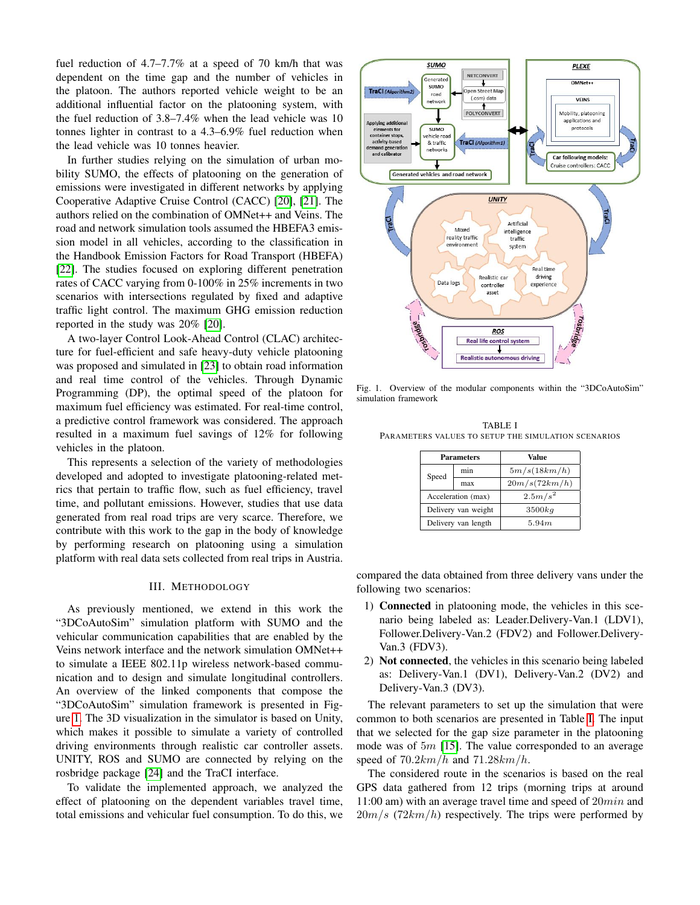fuel reduction of 4.7–7.7% at a speed of 70 km/h that was dependent on the time gap and the number of vehicles in the platoon. The authors reported vehicle weight to be an additional influential factor on the platooning system, with the fuel reduction of 3.8–7.4% when the lead vehicle was 10 tonnes lighter in contrast to a 4.3–6.9% fuel reduction when the lead vehicle was 10 tonnes heavier.

In further studies relying on the simulation of urban mobility SUMO, the effects of platooning on the generation of emissions were investigated in different networks by applying Cooperative Adaptive Cruise Control (CACC) [\[20\]](#page-5-17), [\[21\]](#page-5-18). The authors relied on the combination of OMNet++ and Veins. The road and network simulation tools assumed the HBEFA3 emission model in all vehicles, according to the classification in the Handbook Emission Factors for Road Transport (HBEFA) [\[22\]](#page-5-19). The studies focused on exploring different penetration rates of CACC varying from 0-100% in 25% increments in two scenarios with intersections regulated by fixed and adaptive traffic light control. The maximum GHG emission reduction reported in the study was 20% [\[20\]](#page-5-17).

A two-layer Control Look-Ahead Control (CLAC) architecture for fuel-efficient and safe heavy-duty vehicle platooning was proposed and simulated in [\[23\]](#page-5-20) to obtain road information and real time control of the vehicles. Through Dynamic Programming (DP), the optimal speed of the platoon for maximum fuel efficiency was estimated. For real-time control, a predictive control framework was considered. The approach resulted in a maximum fuel savings of 12% for following vehicles in the platoon.

This represents a selection of the variety of methodologies developed and adopted to investigate platooning-related metrics that pertain to traffic flow, such as fuel efficiency, travel time, and pollutant emissions. However, studies that use data generated from real road trips are very scarce. Therefore, we contribute with this work to the gap in the body of knowledge by performing research on platooning using a simulation platform with real data sets collected from real trips in Austria.

#### III. METHODOLOGY

<span id="page-1-0"></span>As previously mentioned, we extend in this work the "3DCoAutoSim" simulation platform with SUMO and the vehicular communication capabilities that are enabled by the Veins network interface and the network simulation OMNet++ to simulate a IEEE 802.11p wireless network-based communication and to design and simulate longitudinal controllers. An overview of the linked components that compose the "3DCoAutoSim" simulation framework is presented in Figure [1.](#page-1-1) The 3D visualization in the simulator is based on Unity, which makes it possible to simulate a variety of controlled driving environments through realistic car controller assets. UNITY, ROS and SUMO are connected by relying on the rosbridge package [\[24\]](#page-5-21) and the TraCI interface.

To validate the implemented approach, we analyzed the effect of platooning on the dependent variables travel time, total emissions and vehicular fuel consumption. To do this, we



<span id="page-1-1"></span>Fig. 1. Overview of the modular components within the "3DCoAutoSim" simulation framework

<span id="page-1-2"></span>TABLE I PARAMETERS VALUES TO SETUP THE SIMULATION SCENARIOS

| <b>Parameters</b>   |     | Value         |  |  |
|---------------------|-----|---------------|--|--|
| Speed               | min | 5m/s(18km/h)  |  |  |
|                     | max | 20m/s(72km/h) |  |  |
| Acceleration (max)  |     | $2.5 m/s^2$   |  |  |
| Delivery van weight |     | $3500$ $kg$   |  |  |
| Delivery van length |     | 5.94m         |  |  |

compared the data obtained from three delivery vans under the following two scenarios:

- 1) Connected in platooning mode, the vehicles in this scenario being labeled as: Leader.Delivery-Van.1 (LDV1), Follower.Delivery-Van.2 (FDV2) and Follower.Delivery-Van.3 (FDV3).
- 2) Not connected, the vehicles in this scenario being labeled as: Delivery-Van.1 (DV1), Delivery-Van.2 (DV2) and Delivery-Van.3 (DV3).

The relevant parameters to set up the simulation that were common to both scenarios are presented in Table [I.](#page-1-2) The input that we selected for the gap size parameter in the platooning mode was of  $5m$  [\[15\]](#page-5-12). The value corresponded to an average speed of  $70.2km/h$  and  $71.28km/h$ .

The considered route in the scenarios is based on the real GPS data gathered from 12 trips (morning trips at around 11:00 am) with an average travel time and speed of 20min and  $20m/s$  (72km/h) respectively. The trips were performed by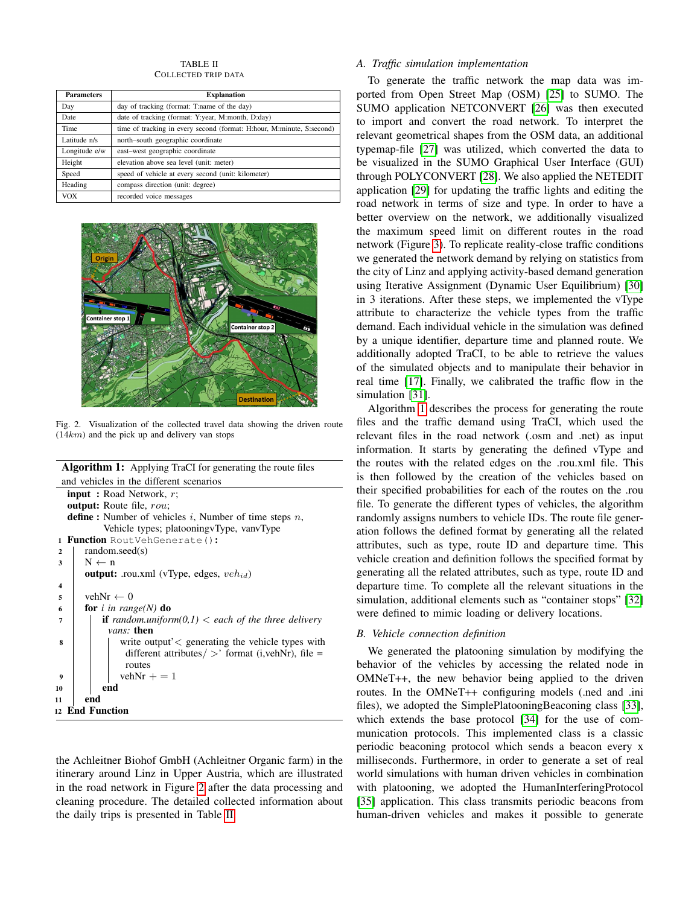TABLE II COLLECTED TRIP DATA

<span id="page-2-1"></span>

| <b>Parameters</b> | <b>Explanation</b>                                                    |  |  |  |  |
|-------------------|-----------------------------------------------------------------------|--|--|--|--|
| Day               | day of tracking (format: T:name of the day)                           |  |  |  |  |
| Date              | date of tracking (format: Y:year, M:month, D:day)                     |  |  |  |  |
| Time              | time of tracking in every second (format: H:hour, M:minute, S:second) |  |  |  |  |
| Latitude n/s      | north-south geographic coordinate                                     |  |  |  |  |
| Longitude e/w     | east-west geographic coordinate                                       |  |  |  |  |
| Height            | elevation above sea level (unit: meter)                               |  |  |  |  |
| Speed             | speed of vehicle at every second (unit: kilometer)                    |  |  |  |  |
| Heading           | compass direction (unit: degree)                                      |  |  |  |  |
| <b>VOX</b>        | recorded voice messages                                               |  |  |  |  |



Fig. 2. Visualization of the collected travel data showing the driven route  $(14km)$  and the pick up and delivery van stops

<span id="page-2-0"></span>Algorithm 1: Applying TraCI for generating the route files and vehicles in the different scenarios

```
input : Road Network, r;
  output: Route file, rou;
  define : Number of vehicles i, Number of time steps n,
           Vehicle types; platooningvType, vanvType
1 Function RoutVehGenerate():
2 \mid \text{random}.\text{seed}(s)3 \mid N \leftarrow noutput: .rou.xml (vType, edges, veh_{id})
4
5 vehNr \leftarrow 0
6 for i in range(N) do
7 \mid if random.uniform(0,1) < each of the three delivery
            vans: then
 8 write output'< generating the vehicle types with
               different attributes/>' format (i,vehNr), file =
               routes
9 | | vehNr + = 1
10 end
11 end
12 End Function
```
the Achleitner Biohof GmbH (Achleitner Organic farm) in the itinerary around Linz in Upper Austria, which are illustrated in the road network in Figure [2](#page-2-0) after the data processing and cleaning procedure. The detailed collected information about the daily trips is presented in Table [II.](#page-2-1)

# *A. Traffic simulation implementation*

To generate the traffic network the map data was imported from Open Street Map (OSM) [\[25\]](#page-5-22) to SUMO. The SUMO application NETCONVERT [\[26\]](#page-5-23) was then executed to import and convert the road network. To interpret the relevant geometrical shapes from the OSM data, an additional typemap-file [\[27\]](#page-5-24) was utilized, which converted the data to be visualized in the SUMO Graphical User Interface (GUI) through POLYCONVERT [\[28\]](#page-5-25). We also applied the NETEDIT application [\[29\]](#page-5-26) for updating the traffic lights and editing the road network in terms of size and type. In order to have a better overview on the network, we additionally visualized the maximum speed limit on different routes in the road network (Figure [3\)](#page-3-0). To replicate reality-close traffic conditions we generated the network demand by relying on statistics from the city of Linz and applying activity-based demand generation using Iterative Assignment (Dynamic User Equilibrium) [\[30\]](#page-5-27) in 3 iterations. After these steps, we implemented the vType attribute to characterize the vehicle types from the traffic demand. Each individual vehicle in the simulation was defined by a unique identifier, departure time and planned route. We additionally adopted TraCI, to be able to retrieve the values of the simulated objects and to manipulate their behavior in real time [\[17\]](#page-5-14). Finally, we calibrated the traffic flow in the simulation [\[31\]](#page-5-28).

Algorithm [1](#page-2-2) describes the process for generating the route files and the traffic demand using TraCI, which used the relevant files in the road network (.osm and .net) as input information. It starts by generating the defined vType and the routes with the related edges on the .rou.xml file. This is then followed by the creation of the vehicles based on their specified probabilities for each of the routes on the .rou file. To generate the different types of vehicles, the algorithm randomly assigns numbers to vehicle IDs. The route file generation follows the defined format by generating all the related attributes, such as type, route ID and departure time. This vehicle creation and definition follows the specified format by generating all the related attributes, such as type, route ID and departure time. To complete all the relevant situations in the simulation, additional elements such as "container stops" [\[32\]](#page-5-29) were defined to mimic loading or delivery locations.

# <span id="page-2-3"></span>*B. Vehicle connection definition*

We generated the platooning simulation by modifying the behavior of the vehicles by accessing the related node in OMNeT++, the new behavior being applied to the driven routes. In the OMNeT++ configuring models (.ned and .ini files), we adopted the SimplePlatooningBeaconing class [\[33\]](#page-5-30), which extends the base protocol [\[34\]](#page-6-0) for the use of communication protocols. This implemented class is a classic periodic beaconing protocol which sends a beacon every x milliseconds. Furthermore, in order to generate a set of real world simulations with human driven vehicles in combination with platooning, we adopted the HumanInterferingProtocol [\[35\]](#page-6-1) application. This class transmits periodic beacons from human-driven vehicles and makes it possible to generate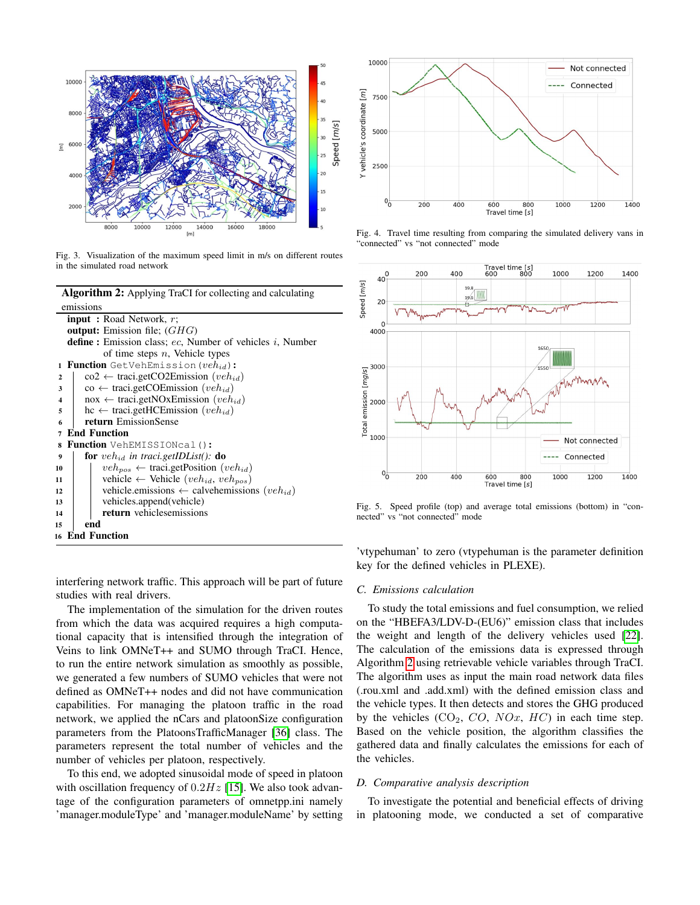

<span id="page-3-0"></span>Fig. 3. Visualization of the maximum speed limit in m/s on different routes in the simulated road network

Algorithm 2: Applying TraCI for collecting and calculating emissions

<span id="page-3-1"></span>

|                  | <b>input</b> : Road Network, $r$ ;                                     |
|------------------|------------------------------------------------------------------------|
|                  | <b>output:</b> Emission file; $(GHG)$                                  |
|                  | <b>define</b> : Emission class; ec. Number of vehicles i, Number       |
|                  | of time steps $n$ , Vehicle types                                      |
| $\mathbf{1}$     | <b>Function</b> GetVehEmission ( $veh_{id}$ ):                         |
| $\mathbf{2}$     | $\cos^2 \leftarrow \text{tracei.getCO2Emission } (veh_{id})$           |
| 3                | $\cos \leftarrow \text{traci.getCOEmission } (veh_{id})$               |
| $\boldsymbol{4}$ | nox $\leftarrow$ traci.getNOxEmission ( <i>veh<sub>id</sub></i> )      |
| 5                | hc $\leftarrow$ traci.getHCEmission ( <i>veh<sub>id</sub></i> )        |
| 6                | return EmissionSense                                                   |
| $\overline{7}$   | <b>End Function</b>                                                    |
|                  | 8 Function VehEMISSIONcal():                                           |
| 9                | <b>for</b> veh <sub>id</sub> in traci.getIDList(): <b>do</b>           |
| 10               | $veh_{pos} \leftarrow \text{traci.getPosition}(veh_{id})$              |
| 11               | vehicle $\leftarrow$ Vehicle (veh <sub>id</sub> , veh <sub>pos</sub> ) |
| 12               | vehicle.emissions $\leftarrow$ calvehemissions $(veh_{id})$            |
| 13               | vehicles.append(vehicle)                                               |
| 14               | <b>return</b> vehiclesemissions                                        |
| 15               | end                                                                    |
|                  | <b>16 End Function</b>                                                 |
|                  |                                                                        |

interfering network traffic. This approach will be part of future studies with real drivers.

The implementation of the simulation for the driven routes from which the data was acquired requires a high computational capacity that is intensified through the integration of Veins to link OMNeT++ and SUMO through TraCI. Hence, to run the entire network simulation as smoothly as possible, we generated a few numbers of SUMO vehicles that were not defined as OMNeT++ nodes and did not have communication capabilities. For managing the platoon traffic in the road network, we applied the nCars and platoonSize configuration parameters from the PlatoonsTrafficManager [\[36\]](#page-6-2) class. The parameters represent the total number of vehicles and the number of vehicles per platoon, respectively.

To this end, we adopted sinusoidal mode of speed in platoon with oscillation frequency of  $0.2Hz$  [\[15\]](#page-5-12). We also took advantage of the configuration parameters of omnetpp.ini namely 'manager.moduleType' and 'manager.moduleName' by setting



<span id="page-3-3"></span>Fig. 4. Travel time resulting from comparing the simulated delivery vans in "connected" vs "not connected" mode



<span id="page-3-2"></span>Fig. 5. Speed profile (top) and average total emissions (bottom) in "connected" vs "not connected" mode

'vtypehuman' to zero (vtypehuman is the parameter definition key for the defined vehicles in PLEXE).

# *C. Emissions calculation*

To study the total emissions and fuel consumption, we relied on the "HBEFA3/LDV-D-(EU6)" emission class that includes the weight and length of the delivery vehicles used [\[22\]](#page-5-19). The calculation of the emissions data is expressed through Algorithm [2](#page-3-1) using retrievable vehicle variables through TraCI. The algorithm uses as input the main road network data files (.rou.xml and .add.xml) with the defined emission class and the vehicle types. It then detects and stores the GHG produced by the vehicles  $(CO_2, CO, NOx, HC)$  in each time step. Based on the vehicle position, the algorithm classifies the gathered data and finally calculates the emissions for each of the vehicles.

### *D. Comparative analysis description*

To investigate the potential and beneficial effects of driving in platooning mode, we conducted a set of comparative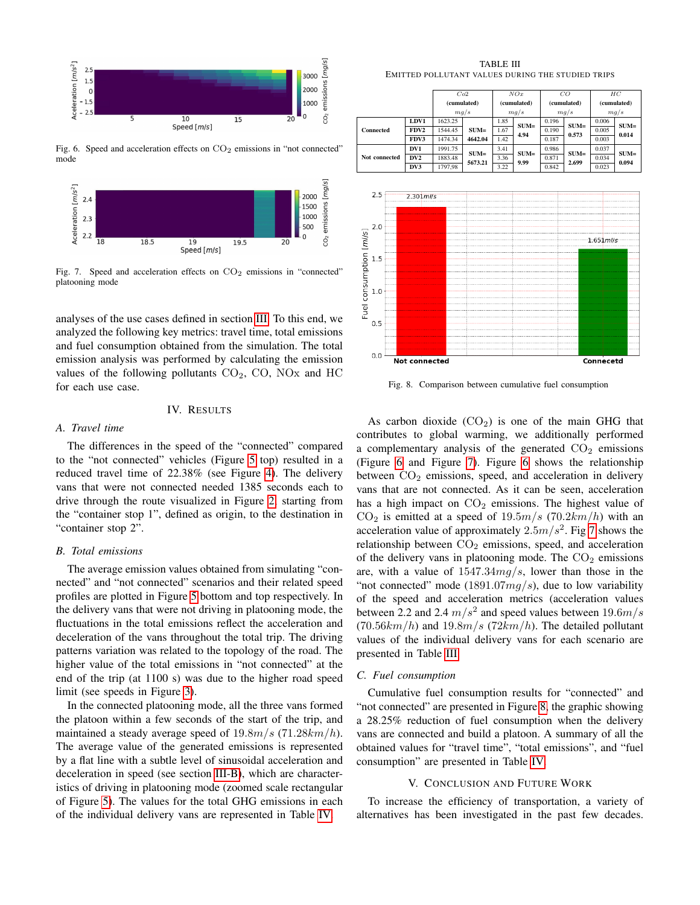

<span id="page-4-2"></span>Fig. 6. Speed and acceleration effects on  $CO<sub>2</sub>$  emissions in "not connected" mode



<span id="page-4-3"></span>Fig. 7. Speed and acceleration effects on  $CO<sub>2</sub>$  emissions in "connected" platooning mode

analyses of the use cases defined in section [III.](#page-1-0) To this end, we analyzed the following key metrics: travel time, total emissions and fuel consumption obtained from the simulation. The total emission analysis was performed by calculating the emission values of the following pollutants  $CO<sub>2</sub>$ ,  $CO<sub>2</sub>$ ,  $NO<sub>X</sub>$  and  $HC<sub>2</sub>$ for each use case.

# IV. RESULTS

#### <span id="page-4-0"></span>*A. Travel time*

The differences in the speed of the "connected" compared to the "not connected" vehicles (Figure [5](#page-3-2) top) resulted in a reduced travel time of 22.38% (see Figure [4\)](#page-3-3). The delivery vans that were not connected needed 1385 seconds each to drive through the route visualized in Figure [2,](#page-2-0) starting from the "container stop 1", defined as origin, to the destination in "container stop 2".

# *B. Total emissions*

The average emission values obtained from simulating "connected" and "not connected" scenarios and their related speed profiles are plotted in Figure [5](#page-3-2) bottom and top respectively. In the delivery vans that were not driving in platooning mode, the fluctuations in the total emissions reflect the acceleration and deceleration of the vans throughout the total trip. The driving patterns variation was related to the topology of the road. The higher value of the total emissions in "not connected" at the end of the trip (at 1100 s) was due to the higher road speed limit (see speeds in Figure [3\)](#page-3-0).

In the connected platooning mode, all the three vans formed the platoon within a few seconds of the start of the trip, and maintained a steady average speed of  $19.8m/s$  (71.28 $km/h$ ). The average value of the generated emissions is represented by a flat line with a subtle level of sinusoidal acceleration and deceleration in speed (see section [III-B\)](#page-2-3), which are characteristics of driving in platooning mode (zoomed scale rectangular of Figure [5\)](#page-3-2). The values for the total GHG emissions in each of the individual delivery vans are represented in Table [IV.](#page-5-31)

TABLE III EMITTED POLLUTANT VALUES DURING THE STUDIED TRIPS

<span id="page-4-4"></span>

|               |      | Co2                 |         | NOx                 |        | CO                  |        | HС                  |        |
|---------------|------|---------------------|---------|---------------------|--------|---------------------|--------|---------------------|--------|
|               |      | (cumulated)<br>mg/s |         | (cumulated)<br>mg/s |        | (cumulated)<br>mg/s |        | (cumulated)<br>mg/s |        |
|               |      |                     |         |                     |        |                     |        |                     |        |
|               | LDV1 | 1623.25             |         | 1.85                | $SUM=$ | 0.196               | $SUM=$ | 0.006               | $SUM=$ |
| Connected     | FDV2 | 1544.45             | $SUM=$  | 1.67                | 4.94   | 0.190               | 0.573  | 0.005               | 0.014  |
|               | FDV3 | 1474.34             | 4642.04 | 1.42                |        | 0.187               |        | 0.003               |        |
|               | DV1  | 1991.75             | $SUM=$  | 3.41                | $SUM=$ | 0.986               | $SUM=$ | 0.037               | $SUM=$ |
| Not connected | DV2  | 1883.48             | 5673.21 | 3.36                | 9.99   | 0.871               | 2.699  | 0.034               | 0.094  |
|               | DV3  | 1797.98             |         | 3.22                |        | 0.842               |        | 0.023               |        |



<span id="page-4-5"></span>Fig. 8. Comparison between cumulative fuel consumption

As carbon dioxide  $(CO_2)$  is one of the main GHG that contributes to global warming, we additionally performed a complementary analysis of the generated  $CO<sub>2</sub>$  emissions (Figure [6](#page-4-2) and Figure [7\)](#page-4-3). Figure [6](#page-4-2) shows the relationship between  $CO<sub>2</sub>$  emissions, speed, and acceleration in delivery vans that are not connected. As it can be seen, acceleration has a high impact on  $CO<sub>2</sub>$  emissions. The highest value of  $CO<sub>2</sub>$  is emitted at a speed of  $19.5m/s$  (70.2km/h) with an acceleration value of approximately  $2.5m/s^2$ . Fig [7](#page-4-3) shows the relationship between  $CO<sub>2</sub>$  emissions, speed, and acceleration of the delivery vans in platooning mode. The  $CO<sub>2</sub>$  emissions are, with a value of  $1547.34mg/s$ , lower than those in the "not connected" mode  $(1891.07mg/s)$ , due to low variability of the speed and acceleration metrics (acceleration values between 2.2 and 2.4  $m/s^2$  and speed values between 19.6 $m/s$  $(70.56km/h)$  and  $19.8m/s$   $(72km/h)$ . The detailed pollutant values of the individual delivery vans for each scenario are presented in Table [III.](#page-4-4)

#### *C. Fuel consumption*

Cumulative fuel consumption results for "connected" and "not connected" are presented in Figure [8,](#page-4-5) the graphic showing a 28.25% reduction of fuel consumption when the delivery vans are connected and build a platoon. A summary of all the obtained values for "travel time", "total emissions", and "fuel consumption" are presented in Table [IV.](#page-5-31)

# V. CONCLUSION AND FUTURE WORK

<span id="page-4-1"></span>To increase the efficiency of transportation, a variety of alternatives has been investigated in the past few decades.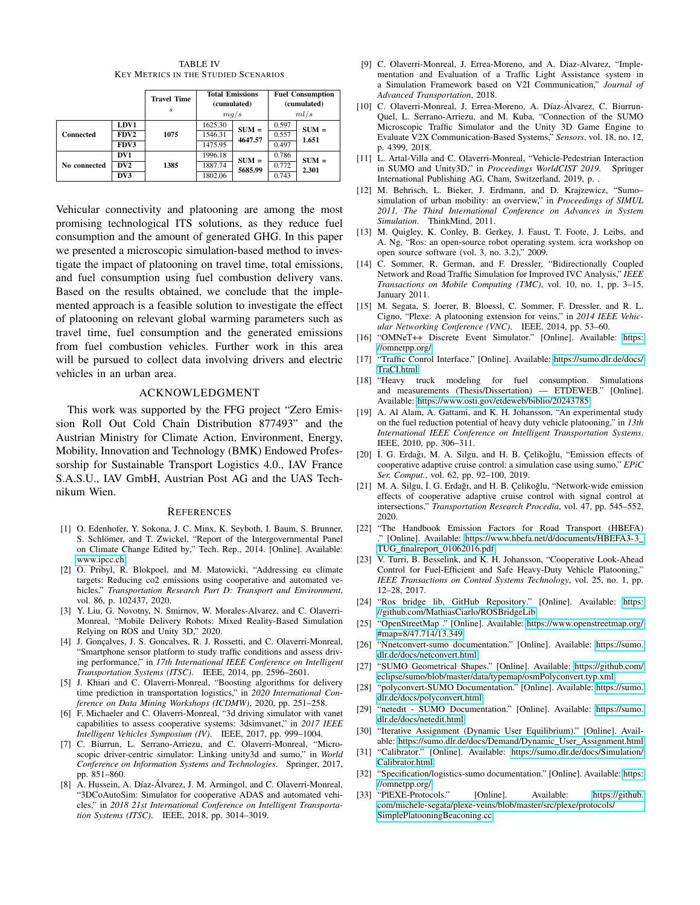TABLE IV KEY METRICS IN THE STUDIED SCENARIOS

<span id="page-5-31"></span>

|                  |                  | <b>Travel Time</b><br>$\boldsymbol{s}$ | <b>Total Emissions</b><br>(cumulated)<br>mg/s |         | <b>Fuel Consumption</b><br>(cumulated)<br>ml/s |         |
|------------------|------------------|----------------------------------------|-----------------------------------------------|---------|------------------------------------------------|---------|
|                  | LDV1             |                                        | 1625.30                                       | $SUM =$ | 0.597                                          | $SUM =$ |
| <b>Connected</b> | FDV <sub>2</sub> | 1075                                   | 1546.31                                       | 4647.57 | 0.557                                          | 1.651   |
|                  | FDV3             |                                        | 1475.95                                       |         | 0.497                                          |         |
|                  | DV1              |                                        | 1996.18                                       | $SUM =$ | 0.786                                          | $SUM =$ |
| No connected     | DV2              | 1385                                   | 1887.74                                       | 5685.99 | 0.772                                          | 2.301   |
|                  | DV3              |                                        | 1802.06                                       |         | 0.743                                          |         |

Vehicular connectivity and platooning are among the most promising technological ITS solutions, as they reduce fuel consumption and the amount of generated GHG. In this paper we presented a microscopic simulation-based method to investigate the impact of platooning on travel time, total emissions, and fuel consumption using fuel combustion delivery vans. Based on the results obtained, we conclude that the implemented approach is a feasible solution to investigate the effect of platooning on relevant global warming parameters such as travel time, fuel consumption and the generated emissions from fuel combustion vehicles. Further work in this area will be pursued to collect data involving drivers and electric vehicles in an urban area.

## ACKNOWLEDGMENT

This work was supported by the FFG project "Zero Emission Roll Out Cold Chain Distribution 877493" and the Austrian Ministry for Climate Action, Environment, Energy, Mobility, Innovation and Technology (BMK) Endowed Professorship for Sustainable Transport Logistics 4.0., IAV France S.A.S.U., IAV GmbH, Austrian Post AG and the UAS Technikum Wien.

#### **REFERENCES**

- <span id="page-5-0"></span>[1] O. Edenhofer, Y. Sokona, J. C. Minx, K. Seyboth, I. Baum, S. Brunner, S. Schlömer, and T. Zwickel, "Report of the Intergovernmental Panel on Climate Change Edited by," Tech. Rep., 2014. [Online]. Available: <www.ipcc.ch>
- <span id="page-5-1"></span>[2] O. Pribyl, R. Blokpoel, and M. Matowicki, "Addressing eu climate targets: Reducing co2 emissions using cooperative and automated vehicles," *Transportation Research Part D: Transport and Environment*, vol. 86, p. 102437, 2020.
- <span id="page-5-2"></span>[3] Y. Liu, G. Novotny, N. Smirnov, W. Morales-Alvarez, and C. Olaverri-Monreal, "Mobile Delivery Robots: Mixed Reality-Based Simulation Relying on ROS and Unity 3D," 2020.
- <span id="page-5-3"></span>[4] J. Gonçalves, J. S. Goncalves, R. J. Rossetti, and C. Olaverri-Monreal, "Smartphone sensor platform to study traffic conditions and assess driving performance," in *17th International IEEE Conference on Intelligent Transportation Systems (ITSC)*. IEEE, 2014, pp. 2596–2601.
- <span id="page-5-4"></span>[5] J. Khiari and C. Olaverri-Monreal, "Boosting algorithms for delivery time prediction in transportation logistics," in *2020 International Conference on Data Mining Workshops (ICDMW)*, 2020, pp. 251–258.
- <span id="page-5-5"></span>[6] F. Michaeler and C. Olaverri-Monreal, "3d driving simulator with vanet capabilities to assess cooperative systems: 3dsimvanet," in *2017 IEEE Intelligent Vehicles Symposium (IV)*. IEEE, 2017, pp. 999–1004.
- <span id="page-5-6"></span>[7] C. Biurrun, L. Serrano-Arriezu, and C. Olaverri-Monreal, "Microscopic driver-centric simulator: Linking unity3d and sumo," in *World Conference on Information Systems and Technologies*. Springer, 2017, pp. 851–860.
- <span id="page-5-7"></span>[8] A. Hussein, A. Díaz-Álvarez, J. M. Armingol, and C. Olaverri-Monreal, "3DCoAutoSim: Simulator for cooperative ADAS and automated vehicles," in *2018 21st International Conference on Intelligent Transportation Systems (ITSC)*. IEEE, 2018, pp. 3014–3019.
- [9] C. Olaverri-Monreal, J. Errea-Moreno, and A. Diaz-Alvarez, "Implementation and Evaluation of a Traffic Light Assistance system in a Simulation Framework based on V2I Communication," *Journal of Advanced Transportation*, 2018.
- [10] C. Olaverri-Monreal, J. Errea-Moreno, A. Díaz-Álvarez, C. Biurrun-Quel, L. Serrano-Arriezu, and M. Kuba, "Connection of the SUMO Microscopic Traffic Simulator and the Unity 3D Game Engine to Evaluate V2X Communication-Based Systems," *Sensors*, vol. 18, no. 12, p. 4399, 2018.
- <span id="page-5-8"></span>[11] L. Artal-Villa and C. Olaverri-Monreal, "Vehicle-Pedestrian Interaction<br>in SUMO and Unity3D." in *Proceedings WorldCIST* 2019. Springer in SUMO and Unity3D," in *Proceedings WorldCIST 2019*. International Publishing AG, Cham, Switzerland, 2019, p. .
- <span id="page-5-9"></span>[12] M. Behrisch, L. Bieker, J. Erdmann, and D. Krajzewicz, "Sumo– simulation of urban mobility: an overview," in *Proceedings of SIMUL 2011, The Third International Conference on Advances in System Simulation*. ThinkMind, 2011.
- <span id="page-5-10"></span>[13] M. Quigley, K. Conley, B. Gerkey, J. Faust, T. Foote, J. Leibs, and A. Ng, "Ros: an open-source robot operating system. icra workshop on open source software (vol. 3, no. 3.2)," 2009.
- <span id="page-5-11"></span>[14] C. Sommer, R. German, and F. Dressler, "Bidirectionally Coupled Network and Road Traffic Simulation for Improved IVC Analysis," *IEEE Transactions on Mobile Computing (TMC)*, vol. 10, no. 1, pp. 3–15, January 2011.
- <span id="page-5-12"></span>[15] M. Segata, S. Joerer, B. Bloessl, C. Sommer, F. Dressler, and R. L. Cigno, "Plexe: A platooning extension for veins," in *2014 IEEE Vehicular Networking Conference (VNC)*. IEEE, 2014, pp. 53–60.
- <span id="page-5-13"></span>[16] "OMNeT++ Discrete Event Simulator." [Online]. Available: [https:](https://omnetpp.org/) [//omnetpp.org/](https://omnetpp.org/)
- <span id="page-5-14"></span>[17] "Traffic Conrol Interface." [Online]. Available: [https://sumo.dlr.de/docs/](https://sumo.dlr.de/docs/TraCI.html) [TraCI.html](https://sumo.dlr.de/docs/TraCI.html)
- <span id="page-5-15"></span>[18] "Heavy truck modeling for fuel consumption. Simulations and measurements (Thesis/Dissertation) — ETDEWEB." [Online]. Available:<https://www.osti.gov/etdeweb/biblio/20243785>
- <span id="page-5-16"></span>[19] A. Al Alam, A. Gattami, and K. H. Johansson, "An experimental study on the fuel reduction potential of heavy duty vehicle platooning," in *13th International IEEE Conference on Intelligent Transportation Systems*. IEEE, 2010, pp. 306–311.
- <span id="page-5-17"></span>[20] İ. G. Erdağı, M. A. Silgu, and H. B. Çelikoğlu, "Emission effects of cooperative adaptive cruise control: a simulation case using sumo," *EPiC Ser. Comput.*, vol. 62, pp. 92–100, 2019.
- <span id="page-5-18"></span>[21] M. A. Silgu, İ. G. Erdağı, and H. B. Çelikoğlu, "Network-wide emission effects of cooperative adaptive cruise control with signal control at intersections," *Transportation Research Procedia*, vol. 47, pp. 545–552, 2020.
- <span id="page-5-19"></span>[22] "The Handbook Emission Factors for Road Transport (HBEFA) ." [Online]. Available: [https://www.hbefa.net/d/documents/HBEFA3-3](https://www.hbefa.net/d/documents/HBEFA3-3_TUG_finalreport_01062016.pdf) TUG\_finalreport\_[01062016.pdf](https://www.hbefa.net/d/documents/HBEFA3-3_TUG_finalreport_01062016.pdf)
- <span id="page-5-20"></span>[23] V. Turri, B. Besselink, and K. H. Johansson, "Cooperative Look-Ahead Control for Fuel-Efficient and Safe Heavy-Duty Vehicle Platooning," *IEEE Transactions on Control Systems Technology*, vol. 25, no. 1, pp. 12–28, 2017.
- <span id="page-5-21"></span>[24] "Ros bridge lib, GitHub Repository." [Online]. Available: [https:](https://github.com/MathiasCiarlo/ROSBridgeLib) [//github.com/MathiasCiarlo/ROSBridgeLib](https://github.com/MathiasCiarlo/ROSBridgeLib)
- <span id="page-5-22"></span>[25] "OpenStreetMap ." [Online]. Available: [https://www.openstreetmap.org/](https://www.openstreetmap.org/#map=8/47.714/13.349) [#map=8/47.714/13.349](https://www.openstreetmap.org/#map=8/47.714/13.349)
- <span id="page-5-23"></span>[26] "Nnetconvert-sumo documentation." [Online]. Available: [https://sumo.](https://sumo.dlr.de/docs/netconvert.html) [dlr.de/docs/netconvert.html](https://sumo.dlr.de/docs/netconvert.html)
- <span id="page-5-24"></span>[27] "SUMO Geometrical Shapes." [Online]. Available: [https://github.com/](https://github.com/eclipse/sumo/blob/master/data/typemap/osmPolyconvert.typ.xml) [eclipse/sumo/blob/master/data/typemap/osmPolyconvert.typ.xml](https://github.com/eclipse/sumo/blob/master/data/typemap/osmPolyconvert.typ.xml)
- <span id="page-5-25"></span>[28] "polyconvert-SUMO Documentation." [Online]. Available: [https://sumo.](https://sumo.dlr.de/docs/polyconvert.html) [dlr.de/docs/polyconvert.html](https://sumo.dlr.de/docs/polyconvert.html)
- <span id="page-5-26"></span>[29] "netedit - SUMO Documentation." [Online]. Available: [https://sumo.](https://sumo.dlr.de/docs/netedit.html) [dlr.de/docs/netedit.html](https://sumo.dlr.de/docs/netedit.html)
- <span id="page-5-27"></span>[30] "Iterative Assignment (Dynamic User Equilibrium)." [Online]. Available: [https://sumo.dlr.de/docs/Demand/Dynamic](https://sumo.dlr.de/docs/Demand/Dynamic_User_Assignment.html)\_User\_Assignment.html
- <span id="page-5-28"></span>[31] "Calibrator." [Online]. Available: [https://sumo.dlr.de/docs/Simulation/](https://sumo.dlr.de/docs/Simulation/Calibrator.html) [Calibrator.html](https://sumo.dlr.de/docs/Simulation/Calibrator.html)
- <span id="page-5-29"></span>[32] "Specification/logistics-sumo documentation." [Online]. Available: [https:](https://omnetpp.org/) [//omnetpp.org/](https://omnetpp.org/)
- <span id="page-5-30"></span>[33] "PIEXE-Protocols." [Online]. Available: [https://github.](https://github.com/michele-segata/plexe-veins/blob/master/src/plexe/protocols/SimplePlatooningBeaconing.cc) [com/michele-segata/plexe-veins/blob/master/src/plexe/protocols/](https://github.com/michele-segata/plexe-veins/blob/master/src/plexe/protocols/SimplePlatooningBeaconing.cc) [SimplePlatooningBeaconing.cc](https://github.com/michele-segata/plexe-veins/blob/master/src/plexe/protocols/SimplePlatooningBeaconing.cc)